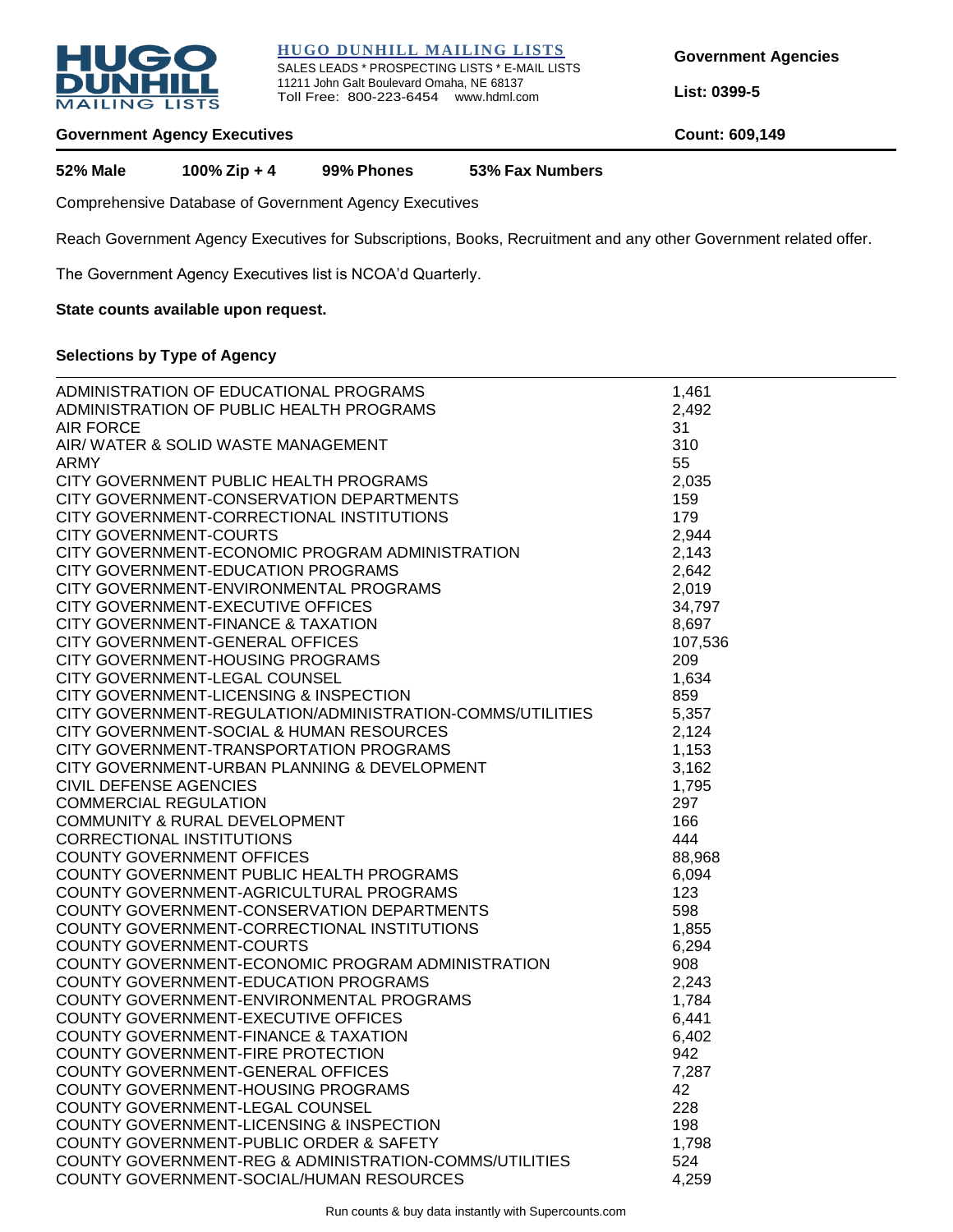

**HUGO DUNHILL MAILING LISTS** SALES LEADS \* PROSPECTING LISTS \* E-MAIL LISTS 11211 John Galt Boulevard Omaha, NE 68137 Toll Free: 800-223-6454 www.hdml.com

**Government Agencies** 

**List: 0399-5**

#### **Government Agency Executives Count: 609,149**

**52% Male 100% Zip + 4 99% Phones 53% Fax Numbers**

Comprehensive Database of Government Agency Executives

Reach Government Agency Executives for Subscriptions, Books, Recruitment and any other Government related offer.

The Government Agency Executives list is NCOA'd Quarterly.

#### **State counts available upon request.**

# **Selections by Type of Agency**

| ADMINISTRATION OF EDUCATIONAL PROGRAMS                    |             |
|-----------------------------------------------------------|-------------|
|                                                           | 1,461       |
| ADMINISTRATION OF PUBLIC HEALTH PROGRAMS                  | 2,492       |
| <b>AIR FORCE</b>                                          | 31          |
| AIR/ WATER & SOLID WASTE MANAGEMENT                       | 310         |
| <b>ARMY</b>                                               | 55          |
| CITY GOVERNMENT PUBLIC HEALTH PROGRAMS                    | 2,035       |
| CITY GOVERNMENT-CONSERVATION DEPARTMENTS                  | 159         |
| CITY GOVERNMENT-CORRECTIONAL INSTITUTIONS                 | 179         |
| <b>CITY GOVERNMENT-COURTS</b>                             | 2,944       |
| CITY GOVERNMENT-ECONOMIC PROGRAM ADMINISTRATION           | 2,143       |
| CITY GOVERNMENT-EDUCATION PROGRAMS                        | 2,642       |
| CITY GOVERNMENT-ENVIRONMENTAL PROGRAMS                    | 2,019       |
| CITY GOVERNMENT-EXECUTIVE OFFICES                         | 34,797      |
| CITY GOVERNMENT-FINANCE & TAXATION                        | 8,697       |
| CITY GOVERNMENT-GENERAL OFFICES                           | 107,536     |
| CITY GOVERNMENT-HOUSING PROGRAMS                          | 209         |
| CITY GOVERNMENT-LEGAL COUNSEL                             | 1,634       |
| CITY GOVERNMENT-LICENSING & INSPECTION                    | 859         |
|                                                           |             |
| CITY GOVERNMENT-REGULATION/ADMINISTRATION-COMMS/UTILITIES | 5,357       |
| CITY GOVERNMENT-SOCIAL & HUMAN RESOURCES                  | 2,124       |
| CITY GOVERNMENT-TRANSPORTATION PROGRAMS                   | 1,153       |
| CITY GOVERNMENT-URBAN PLANNING & DEVELOPMENT              | 3,162       |
| <b>CIVIL DEFENSE AGENCIES</b>                             | 1,795       |
| <b>COMMERCIAL REGULATION</b>                              | 297         |
| COMMUNITY & RURAL DEVELOPMENT                             | 166         |
| <b>CORRECTIONAL INSTITUTIONS</b>                          | 444         |
| <b>COUNTY GOVERNMENT OFFICES</b>                          | 88,968      |
| COUNTY GOVERNMENT PUBLIC HEALTH PROGRAMS                  | 6,094       |
| COUNTY GOVERNMENT-AGRICULTURAL PROGRAMS                   | 123         |
| COUNTY GOVERNMENT-CONSERVATION DEPARTMENTS                | 598         |
| COUNTY GOVERNMENT-CORRECTIONAL INSTITUTIONS               | 1,855       |
| <b>COUNTY GOVERNMENT-COURTS</b>                           | 6,294       |
| COUNTY GOVERNMENT-ECONOMIC PROGRAM ADMINISTRATION         | 908         |
| COUNTY GOVERNMENT-EDUCATION PROGRAMS                      | 2,243       |
| COUNTY GOVERNMENT-ENVIRONMENTAL PROGRAMS                  | 1,784       |
| COUNTY GOVERNMENT-EXECUTIVE OFFICES                       | 6,441       |
| <b>COUNTY GOVERNMENT-FINANCE &amp; TAXATION</b>           | 6,402       |
| COUNTY GOVERNMENT-FIRE PROTECTION                         | 942         |
| COUNTY GOVERNMENT-GENERAL OFFICES                         |             |
|                                                           | 7,287<br>42 |
| COUNTY GOVERNMENT-HOUSING PROGRAMS                        |             |
| COUNTY GOVERNMENT-LEGAL COUNSEL                           | 228         |
| COUNTY GOVERNMENT-LICENSING & INSPECTION                  | 198         |
| COUNTY GOVERNMENT-PUBLIC ORDER & SAFETY                   | 1,798       |
| COUNTY GOVERNMENT-REG & ADMINISTRATION-COMMS/UTILITIES    | 524         |
| COUNTY GOVERNMENT-SOCIAL/HUMAN RESOURCES                  | 4,259       |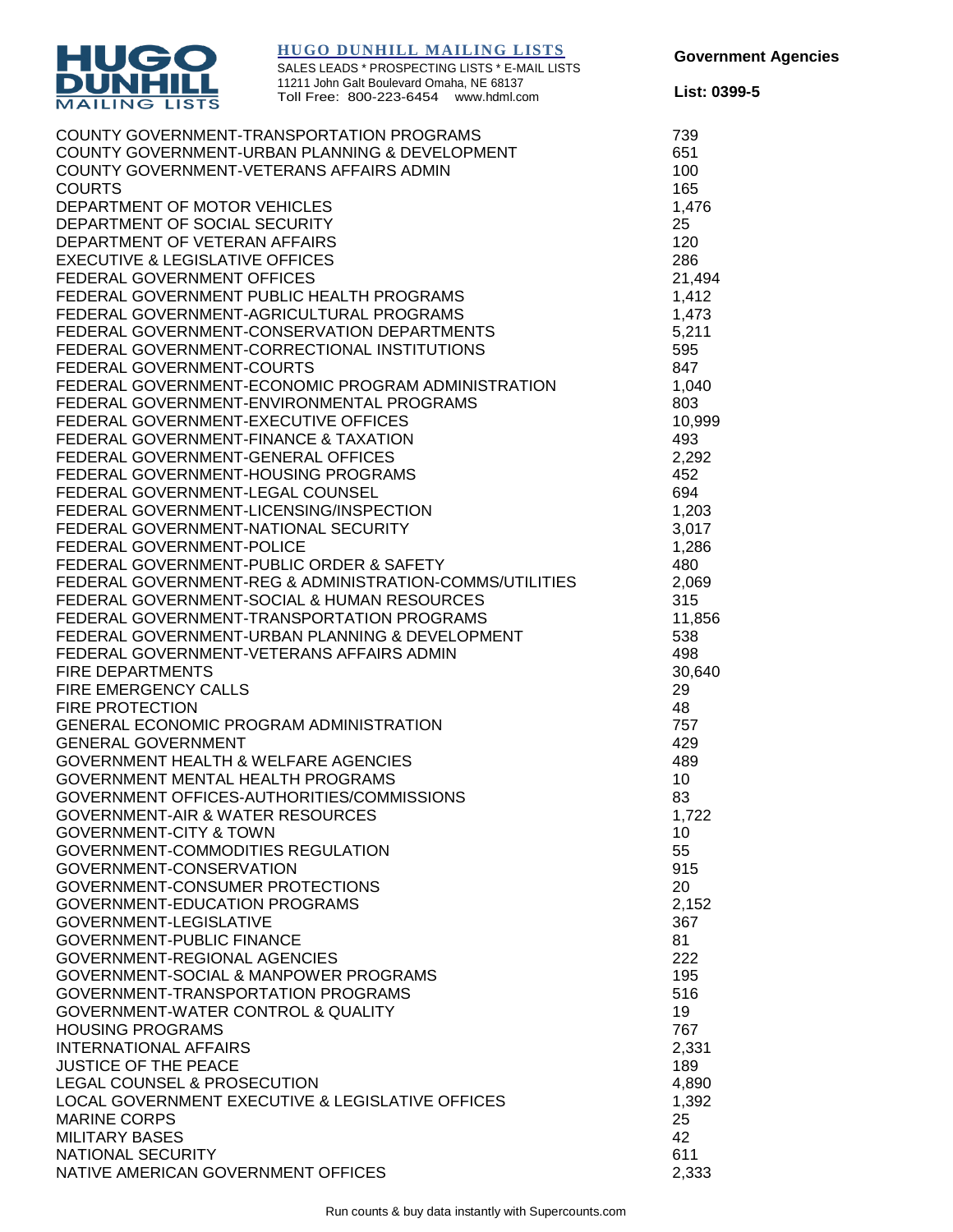

**Government Agencies** 

**List: 0399-5**

SALES LEADS \* PROSPECTING LISTS \* E-MAIL LISTS 11211 John Galt Boulevard Omaha, NE 68137 Toll Free: 800-223-6454 www.hdml.com

| COUNTY GOVERNMENT-TRANSPORTATION PROGRAMS               | 739    |
|---------------------------------------------------------|--------|
| COUNTY GOVERNMENT-URBAN PLANNING & DEVELOPMENT          | 651    |
| COUNTY GOVERNMENT-VETERANS AFFAIRS ADMIN                | 100    |
| <b>COURTS</b>                                           | 165    |
| DEPARTMENT OF MOTOR VEHICLES                            | 1,476  |
| DEPARTMENT OF SOCIAL SECURITY                           | 25     |
|                                                         |        |
| DEPARTMENT OF VETERAN AFFAIRS                           | 120    |
| <b>EXECUTIVE &amp; LEGISLATIVE OFFICES</b>              | 286    |
| <b>FEDERAL GOVERNMENT OFFICES</b>                       | 21,494 |
| FEDERAL GOVERNMENT PUBLIC HEALTH PROGRAMS               | 1,412  |
| FEDERAL GOVERNMENT-AGRICULTURAL PROGRAMS                | 1,473  |
| FEDERAL GOVERNMENT-CONSERVATION DEPARTMENTS             | 5,211  |
| FEDERAL GOVERNMENT-CORRECTIONAL INSTITUTIONS            | 595    |
| FEDERAL GOVERNMENT-COURTS                               | 847    |
| FEDERAL GOVERNMENT-ECONOMIC PROGRAM ADMINISTRATION      | 1,040  |
|                                                         |        |
| FEDERAL GOVERNMENT-ENVIRONMENTAL PROGRAMS               | 803    |
| FEDERAL GOVERNMENT-EXECUTIVE OFFICES                    | 10,999 |
| FEDERAL GOVERNMENT-FINANCE & TAXATION                   | 493    |
| FEDERAL GOVERNMENT-GENERAL OFFICES                      | 2,292  |
| FEDERAL GOVERNMENT-HOUSING PROGRAMS                     | 452    |
| FEDERAL GOVERNMENT-LEGAL COUNSEL                        | 694    |
| FEDERAL GOVERNMENT-LICENSING/INSPECTION                 | 1,203  |
| FEDERAL GOVERNMENT-NATIONAL SECURITY                    | 3,017  |
| FEDERAL GOVERNMENT-POLICE                               | 1,286  |
|                                                         |        |
| FEDERAL GOVERNMENT-PUBLIC ORDER & SAFETY                | 480    |
| FEDERAL GOVERNMENT-REG & ADMINISTRATION-COMMS/UTILITIES | 2,069  |
| FEDERAL GOVERNMENT-SOCIAL & HUMAN RESOURCES             | 315    |
| FEDERAL GOVERNMENT-TRANSPORTATION PROGRAMS              | 11,856 |
| FEDERAL GOVERNMENT-URBAN PLANNING & DEVELOPMENT         | 538    |
| FEDERAL GOVERNMENT-VETERANS AFFAIRS ADMIN               | 498    |
| <b>FIRE DEPARTMENTS</b>                                 | 30,640 |
| <b>FIRE EMERGENCY CALLS</b>                             | 29     |
| <b>FIRE PROTECTION</b>                                  | 48     |
| GENERAL ECONOMIC PROGRAM ADMINISTRATION                 | 757    |
|                                                         |        |
| <b>GENERAL GOVERNMENT</b>                               | 429    |
| <b>GOVERNMENT HEALTH &amp; WELFARE AGENCIES</b>         | 489    |
| GOVERNMENT MENTAL HEALTH PROGRAMS                       | 10     |
| GOVERNMENT OFFICES-AUTHORITIES/COMMISSIONS              | 83     |
| <b>GOVERNMENT-AIR &amp; WATER RESOURCES</b>             | 1,722  |
| <b>GOVERNMENT-CITY &amp; TOWN</b>                       | 10     |
| GOVERNMENT-COMMODITIES REGULATION                       | 55     |
| GOVERNMENT-CONSERVATION                                 | 915    |
| GOVERNMENT-CONSUMER PROTECTIONS                         | 20     |
| <b>GOVERNMENT-EDUCATION PROGRAMS</b>                    |        |
|                                                         | 2,152  |
| GOVERNMENT-LEGISLATIVE                                  | 367    |
| <b>GOVERNMENT-PUBLIC FINANCE</b>                        | 81     |
| GOVERNMENT-REGIONAL AGENCIES                            | 222    |
| GOVERNMENT-SOCIAL & MANPOWER PROGRAMS                   | 195    |
| GOVERNMENT-TRANSPORTATION PROGRAMS                      | 516    |
| <b>GOVERNMENT-WATER CONTROL &amp; QUALITY</b>           | 19     |
| <b>HOUSING PROGRAMS</b>                                 | 767    |
| <b>INTERNATIONAL AFFAIRS</b>                            | 2,331  |
| <b>JUSTICE OF THE PEACE</b>                             | 189    |
| LEGAL COUNSEL & PROSECUTION                             |        |
|                                                         | 4,890  |
| LOCAL GOVERNMENT EXECUTIVE & LEGISLATIVE OFFICES        | 1,392  |
| <b>MARINE CORPS</b>                                     | 25     |
| <b>MILITARY BASES</b>                                   | 42     |
| NATIONAL SECURITY                                       | 611    |
| NATIVE AMERICAN GOVERNMENT OFFICES                      | 2,333  |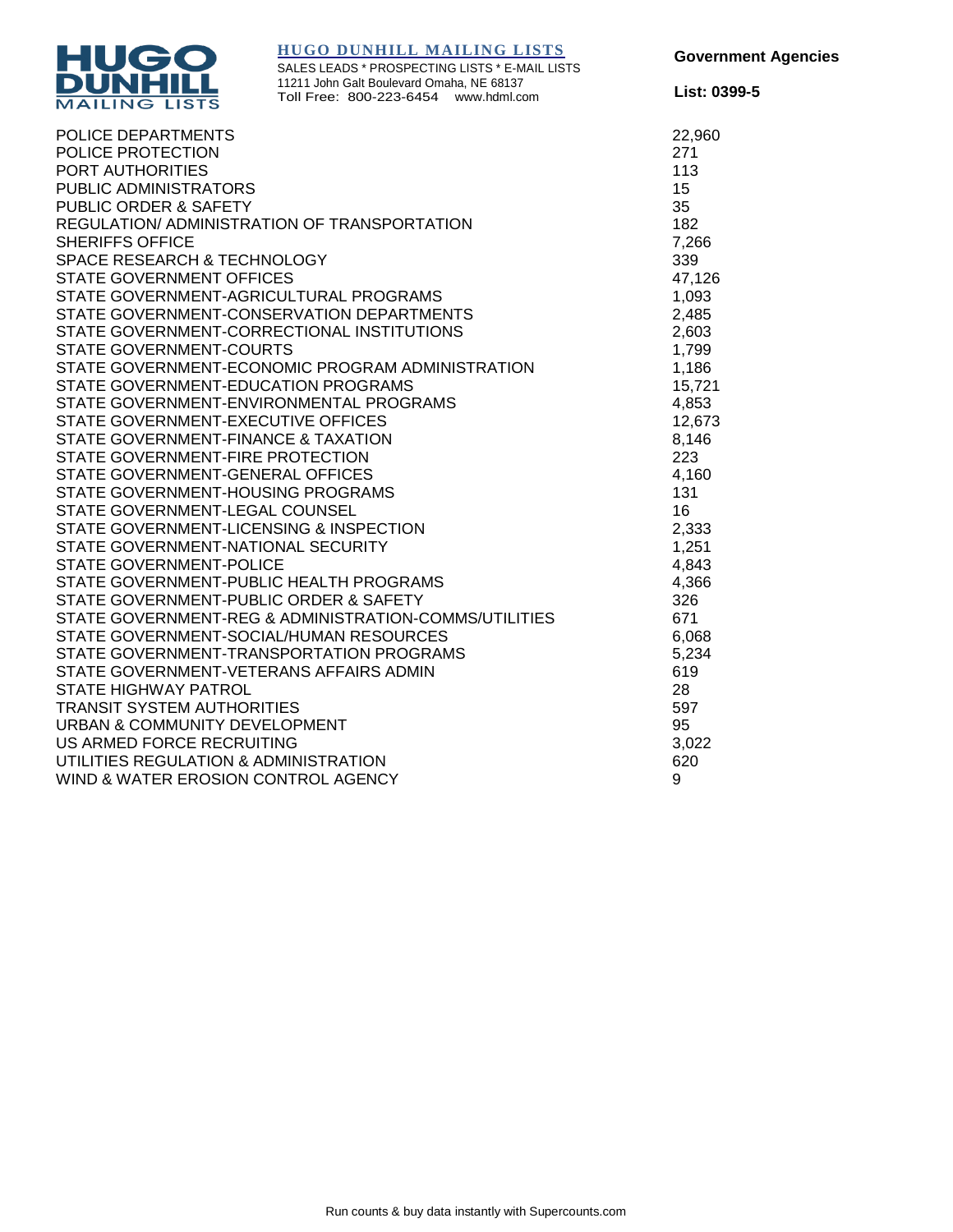

SALES LEADS \* PROSPECTING LISTS \* E-MAIL LISTS 11211 John Galt Boulevard Omaha, NE 68137 Toll Free: 800-223-6454 www.hdml.com

**List: 0399-5**

| POLICE DEPARTMENTS                                    | 22,960 |
|-------------------------------------------------------|--------|
| POLICE PROTECTION                                     | 271    |
| PORT AUTHORITIES                                      | 113    |
| PUBLIC ADMINISTRATORS                                 | 15     |
| PUBLIC ORDER & SAFETY                                 | 35     |
| REGULATION/ADMINISTRATION OF TRANSPORTATION           | 182    |
| <b>SHERIFFS OFFICE</b>                                | 7,266  |
| SPACE RESEARCH & TECHNOLOGY                           | 339    |
| <b>STATE GOVERNMENT OFFICES</b>                       | 47,126 |
| STATE GOVERNMENT-AGRICULTURAL PROGRAMS                | 1,093  |
| STATE GOVERNMENT-CONSERVATION DEPARTMENTS             | 2,485  |
| STATE GOVERNMENT-CORRECTIONAL INSTITUTIONS            | 2,603  |
| <b>STATE GOVERNMENT-COURTS</b>                        | 1,799  |
| STATE GOVERNMENT-ECONOMIC PROGRAM ADMINISTRATION      | 1,186  |
| STATE GOVERNMENT-EDUCATION PROGRAMS                   | 15,721 |
| STATE GOVERNMENT-ENVIRONMENTAL PROGRAMS               | 4,853  |
| STATE GOVERNMENT-EXECUTIVE OFFICES                    | 12,673 |
| STATE GOVERNMENT-FINANCE & TAXATION                   | 8,146  |
| STATE GOVERNMENT-FIRE PROTECTION                      | 223    |
| STATE GOVERNMENT-GENERAL OFFICES                      | 4,160  |
| STATE GOVERNMENT-HOUSING PROGRAMS                     | 131    |
| STATE GOVERNMENT-LEGAL COUNSEL                        | 16     |
| STATE GOVERNMENT-LICENSING & INSPECTION               | 2,333  |
| STATE GOVERNMENT-NATIONAL SECURITY                    | 1,251  |
| <b>STATE GOVERNMENT-POLICE</b>                        | 4,843  |
| STATE GOVERNMENT-PUBLIC HEALTH PROGRAMS               | 4,366  |
| STATE GOVERNMENT-PUBLIC ORDER & SAFETY                | 326    |
| STATE GOVERNMENT-REG & ADMINISTRATION-COMMS/UTILITIES | 671    |
| STATE GOVERNMENT-SOCIAL/HUMAN RESOURCES               | 6,068  |
| STATE GOVERNMENT-TRANSPORTATION PROGRAMS              | 5,234  |
| STATE GOVERNMENT-VETERANS AFFAIRS ADMIN               | 619    |
| <b>STATE HIGHWAY PATROL</b>                           | 28     |
| <b>TRANSIT SYSTEM AUTHORITIES</b>                     | 597    |
| URBAN & COMMUNITY DEVELOPMENT                         | 95     |
| US ARMED FORCE RECRUITING                             | 3,022  |
| UTILITIES REGULATION & ADMINISTRATION                 | 620    |
| WIND & WATER EROSION CONTROL AGENCY                   | 9      |
|                                                       |        |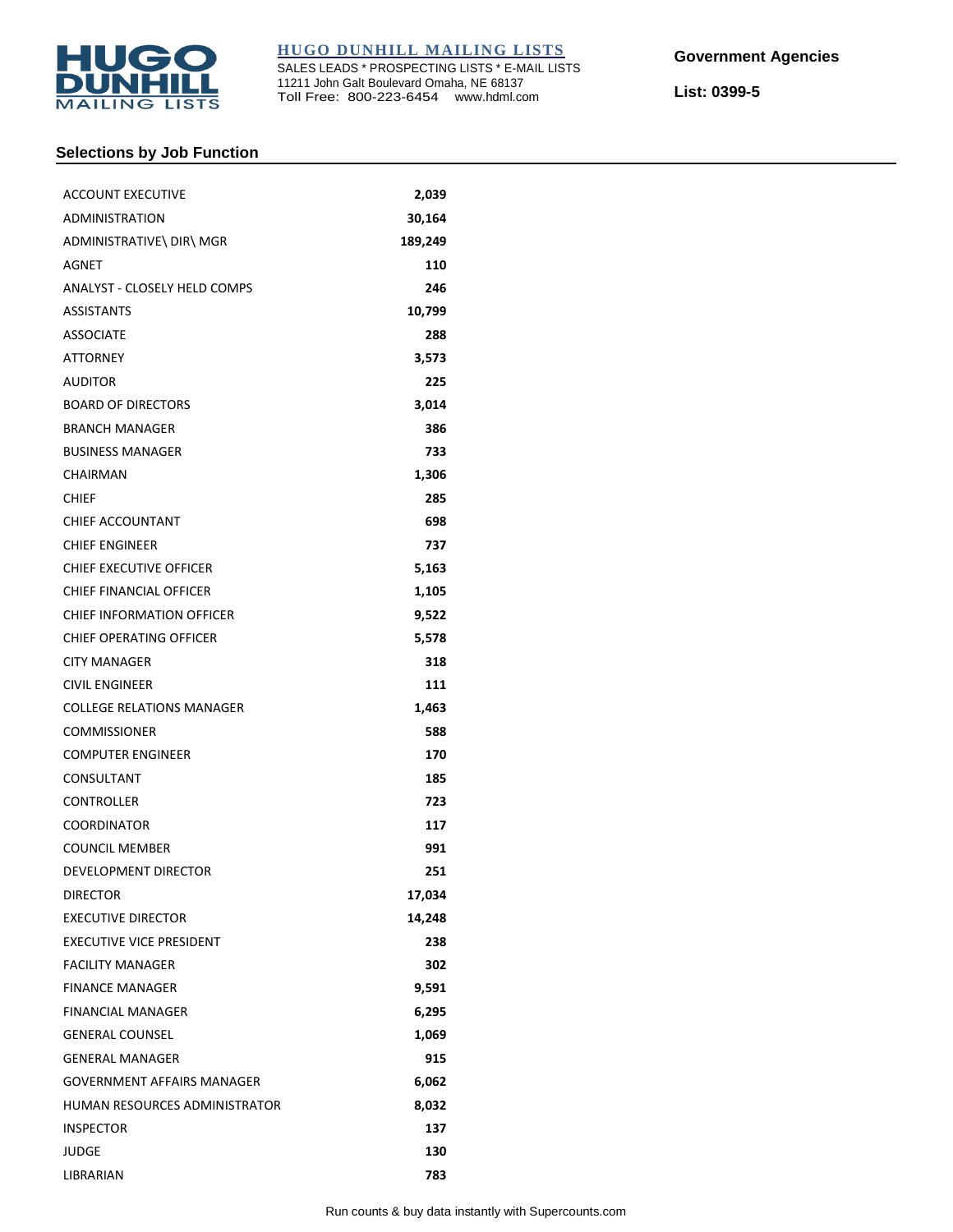

SALES LEADS \* PROSPECTING LISTS \* E-MAIL LISTS 11211 John Galt Boulevard Omaha, NE 68137 Toll Free: 800-223-6454 www.hdml.com

**List: 0399-5**

# **Selections by Job Function**

| <b>ACCOUNT EXECUTIVE</b>            | 2,039   |
|-------------------------------------|---------|
| <b>ADMINISTRATION</b>               | 30,164  |
| ADMINISTRATIVE\ DIR\ MGR            | 189,249 |
| AGNET                               | 110     |
| <b>ANALYST - CLOSELY HELD COMPS</b> | 246     |
| <b>ASSISTANTS</b>                   | 10,799  |
| <b>ASSOCIATE</b>                    | 288     |
| <b>ATTORNEY</b>                     | 3,573   |
| <b>AUDITOR</b>                      | 225     |
| <b>BOARD OF DIRECTORS</b>           | 3,014   |
| <b>BRANCH MANAGER</b>               | 386     |
| <b>BUSINESS MANAGER</b>             | 733     |
| CHAIRMAN                            | 1,306   |
| CHIEF                               | 285     |
| CHIEF ACCOUNTANT                    | 698     |
| <b>CHIEF ENGINEER</b>               | 737     |
| CHIEF EXECUTIVE OFFICER             | 5,163   |
| CHIEF FINANCIAL OFFICER             | 1,105   |
| CHIEF INFORMATION OFFICER           | 9,522   |
| <b>CHIEF OPERATING OFFICER</b>      | 5,578   |
| <b>CITY MANAGER</b>                 | 318     |
| <b>CIVIL ENGINEER</b>               | 111     |
| <b>COLLEGE RELATIONS MANAGER</b>    | 1,463   |
| <b>COMMISSIONER</b>                 | 588     |
| <b>COMPUTER ENGINEER</b>            | 170     |
| CONSULTANT                          | 185     |
| CONTROLLER                          | 723     |
| <b>COORDINATOR</b>                  | 117     |
| <b>COUNCIL MEMBER</b>               | 991     |
| DEVELOPMENT DIRECTOR                | 251     |
| <b>DIRECTOR</b>                     | 17,034  |
| <b>EXECUTIVE DIRECTOR</b>           | 14,248  |
| <b>EXECUTIVE VICE PRESIDENT</b>     | 238     |
| <b>FACILITY MANAGER</b>             | 302     |
| <b>FINANCE MANAGER</b>              | 9,591   |
| <b>FINANCIAL MANAGER</b>            | 6,295   |
| <b>GENERAL COUNSEL</b>              | 1,069   |
| <b>GENERAL MANAGER</b>              | 915     |
| <b>GOVERNMENT AFFAIRS MANAGER</b>   | 6,062   |
| HUMAN RESOURCES ADMINISTRATOR       | 8,032   |
| <b>INSPECTOR</b>                    | 137     |
| JUDGE                               | 130     |
| LIBRARIAN                           | 783     |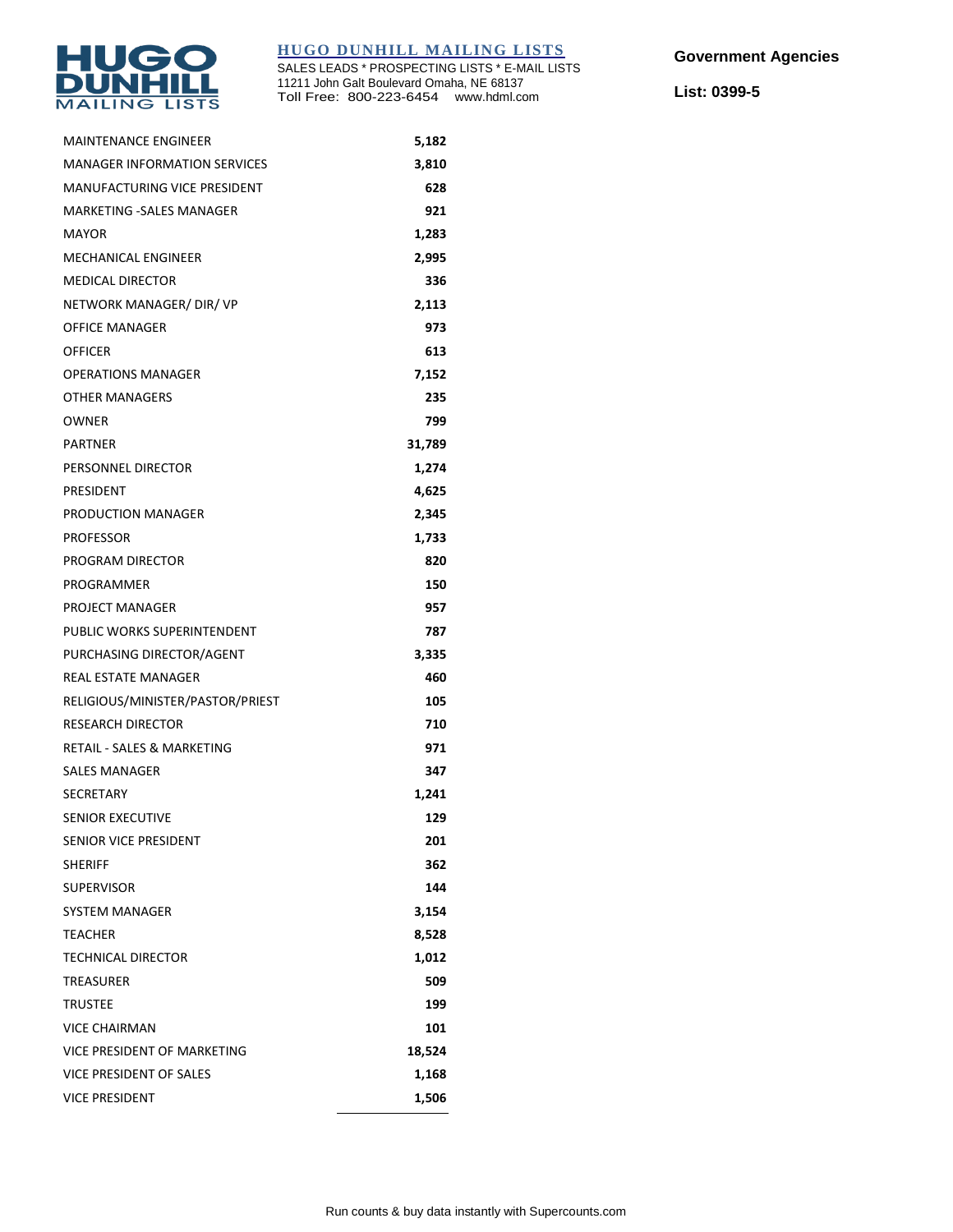

SALES LEADS \* PROSPECTING LISTS \* E-MAIL LISTS 11211 John Galt Boulevard Omaha, NE 68137 Toll Free: 800-223-6454 www.hdml.com

**List: 0399-5**

| <b>MAINTENANCE ENGINEER</b>         | 5,182  |
|-------------------------------------|--------|
| <b>MANAGER INFORMATION SERVICES</b> | 3,810  |
| <b>MANUFACTURING VICE PRESIDENT</b> | 628    |
| <b>MARKETING -SALES MANAGER</b>     | 921    |
| <b>MAYOR</b>                        | 1,283  |
| <b>MECHANICAL ENGINEER</b>          | 2,995  |
| <b>MEDICAL DIRECTOR</b>             | 336    |
| NETWORK MANAGER/ DIR/ VP            | 2,113  |
| <b>OFFICE MANAGER</b>               | 973    |
| <b>OFFICER</b>                      | 613    |
| <b>OPERATIONS MANAGER</b>           | 7,152  |
| OTHER MANAGERS                      | 235    |
| <b>OWNER</b>                        | 799    |
| <b>PARTNER</b>                      | 31,789 |
| PERSONNEL DIRECTOR                  | 1,274  |
| PRESIDENT                           | 4,625  |
| PRODUCTION MANAGER                  | 2,345  |
| <b>PROFESSOR</b>                    | 1,733  |
| PROGRAM DIRECTOR                    | 820    |
| PROGRAMMER                          | 150    |
| PROJECT MANAGER                     | 957    |
| PUBLIC WORKS SUPERINTENDENT         | 787    |
| PURCHASING DIRECTOR/AGENT           | 3,335  |
| <b>REAL ESTATE MANAGER</b>          | 460    |
| RELIGIOUS/MINISTER/PASTOR/PRIEST    | 105    |
| <b>RESEARCH DIRECTOR</b>            | 710    |
| RETAIL - SALES & MARKETING          | 971    |
| SALES MANAGER                       | 347    |
| <b>SECRETARY</b>                    | 1,241  |
| <b>SENIOR EXECUTIVE</b>             | 129    |
| SENIOR VICE PRESIDENT               | 201    |
| <b>SHERIFF</b>                      | 362    |
| <b>SUPERVISOR</b>                   | 144    |
| <b>SYSTEM MANAGER</b>               | 3,154  |
| <b>TEACHER</b>                      | 8,528  |
| TECHNICAL DIRECTOR                  | 1,012  |
| TREASURER                           | 509    |
| <b>TRUSTEE</b>                      | 199    |
| <b>VICE CHAIRMAN</b>                | 101    |
| VICE PRESIDENT OF MARKETING         | 18,524 |
| VICE PRESIDENT OF SALES             | 1,168  |
| <b>VICE PRESIDENT</b>               | 1,506  |